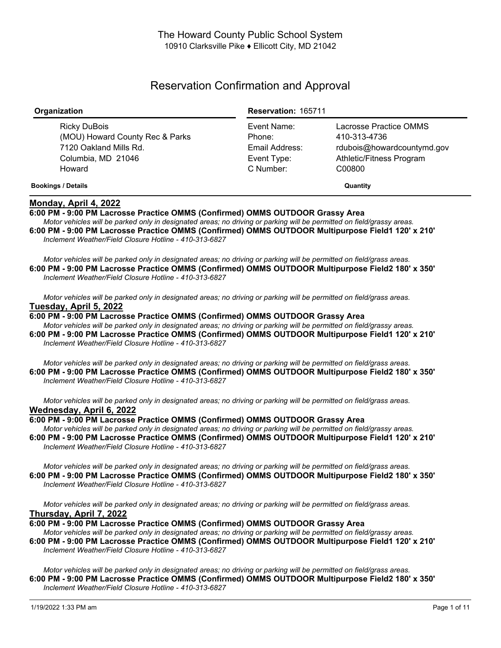# Reservation Confirmation and Approval

| Organization                                                                                              | <b>Reservation: 165711</b>                                          |                                                                                                            |
|-----------------------------------------------------------------------------------------------------------|---------------------------------------------------------------------|------------------------------------------------------------------------------------------------------------|
| Ricky DuBois<br>(MOU) Howard County Rec & Parks<br>7120 Oakland Mills Rd.<br>Columbia, MD 21046<br>Howard | Event Name:<br>Phone:<br>Email Address:<br>Event Type:<br>C Number: | Lacrosse Practice OMMS<br>410-313-4736<br>rdubois@howardcountymd.gov<br>Athletic/Fitness Program<br>C00800 |
| <b>Bookings / Details</b>                                                                                 | Quantity                                                            |                                                                                                            |

# **Monday, April 4, 2022**

**6:00 PM - 9:00 PM Lacrosse Practice OMMS (Confirmed) OMMS OUTDOOR Grassy Area**

Motor vehicles will be parked only in designated areas; no driving or parking will be permitted on field/grassy areas. **6:00 PM - 9:00 PM Lacrosse Practice OMMS (Confirmed) OMMS OUTDOOR Multipurpose Field1 120' x 210'** *Inclement Weather/Field Closure Hotline - 410-313-6827*

Motor vehicles will be parked only in designated areas; no driving or parking will be permitted on field/grass areas. **6:00 PM - 9:00 PM Lacrosse Practice OMMS (Confirmed) OMMS OUTDOOR Multipurpose Field2 180' x 350'** *Inclement Weather/Field Closure Hotline - 410-313-6827*

Motor vehicles will be parked only in designated areas; no driving or parking will be permitted on field/grass areas. **Tuesday, April 5, 2022**

**6:00 PM - 9:00 PM Lacrosse Practice OMMS (Confirmed) OMMS OUTDOOR Grassy Area** Motor vehicles will be parked only in designated areas; no driving or parking will be permitted on field/grassy areas.

**6:00 PM - 9:00 PM Lacrosse Practice OMMS (Confirmed) OMMS OUTDOOR Multipurpose Field1 120' x 210'** *Inclement Weather/Field Closure Hotline - 410-313-6827*

Motor vehicles will be parked only in designated areas; no driving or parking will be permitted on field/grass areas. **6:00 PM - 9:00 PM Lacrosse Practice OMMS (Confirmed) OMMS OUTDOOR Multipurpose Field2 180' x 350'** *Inclement Weather/Field Closure Hotline - 410-313-6827*

Motor vehicles will be parked only in designated areas; no driving or parking will be permitted on field/grass areas. **Wednesday, April 6, 2022**

**6:00 PM - 9:00 PM Lacrosse Practice OMMS (Confirmed) OMMS OUTDOOR Grassy Area**

Motor vehicles will be parked only in designated areas; no driving or parking will be permitted on field/grassy areas. **6:00 PM - 9:00 PM Lacrosse Practice OMMS (Confirmed) OMMS OUTDOOR Multipurpose Field1 120' x 210'** *Inclement Weather/Field Closure Hotline - 410-313-6827*

Motor vehicles will be parked only in designated areas; no driving or parking will be permitted on field/grass areas. **6:00 PM - 9:00 PM Lacrosse Practice OMMS (Confirmed) OMMS OUTDOOR Multipurpose Field2 180' x 350'** *Inclement Weather/Field Closure Hotline - 410-313-6827*

Motor vehicles will be parked only in designated areas; no driving or parking will be permitted on field/grass areas. **Thursday, April 7, 2022**

**6:00 PM - 9:00 PM Lacrosse Practice OMMS (Confirmed) OMMS OUTDOOR Grassy Area**

Motor vehicles will be parked only in designated areas; no driving or parking will be permitted on field/grassy areas. **6:00 PM - 9:00 PM Lacrosse Practice OMMS (Confirmed) OMMS OUTDOOR Multipurpose Field1 120' x 210'** *Inclement Weather/Field Closure Hotline - 410-313-6827*

Motor vehicles will be parked only in designated areas; no driving or parking will be permitted on field/grass areas. **6:00 PM - 9:00 PM Lacrosse Practice OMMS (Confirmed) OMMS OUTDOOR Multipurpose Field2 180' x 350'** *Inclement Weather/Field Closure Hotline - 410-313-6827*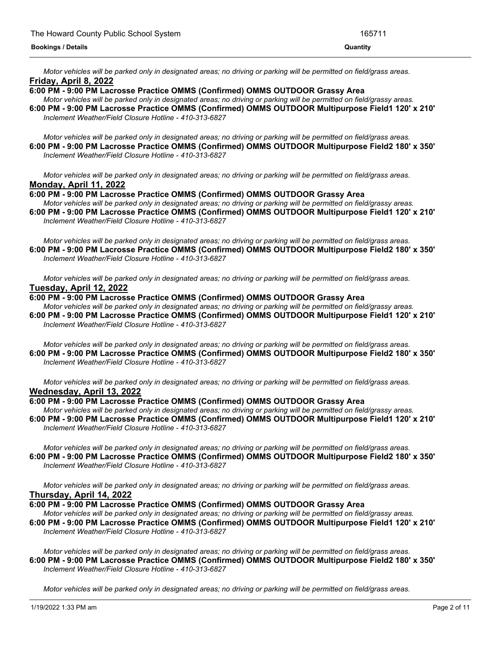Motor vehicles will be parked only in designated areas; no driving or parking will be permitted on field/grass areas. **Friday, April 8, 2022**

## **6:00 PM - 9:00 PM Lacrosse Practice OMMS (Confirmed) OMMS OUTDOOR Grassy Area**

Motor vehicles will be parked only in designated areas; no driving or parking will be permitted on field/grassy areas. **6:00 PM - 9:00 PM Lacrosse Practice OMMS (Confirmed) OMMS OUTDOOR Multipurpose Field1 120' x 210'** *Inclement Weather/Field Closure Hotline - 410-313-6827*

Motor vehicles will be parked only in designated areas; no driving or parking will be permitted on field/grass areas. **6:00 PM - 9:00 PM Lacrosse Practice OMMS (Confirmed) OMMS OUTDOOR Multipurpose Field2 180' x 350'** *Inclement Weather/Field Closure Hotline - 410-313-6827*

Motor vehicles will be parked only in designated areas; no driving or parking will be permitted on field/grass areas. **Monday, April 11, 2022**

**6:00 PM - 9:00 PM Lacrosse Practice OMMS (Confirmed) OMMS OUTDOOR Grassy Area**

Motor vehicles will be parked only in designated areas; no driving or parking will be permitted on field/grassy areas. **6:00 PM - 9:00 PM Lacrosse Practice OMMS (Confirmed) OMMS OUTDOOR Multipurpose Field1 120' x 210'** *Inclement Weather/Field Closure Hotline - 410-313-6827*

Motor vehicles will be parked only in designated areas; no driving or parking will be permitted on field/grass areas. **6:00 PM - 9:00 PM Lacrosse Practice OMMS (Confirmed) OMMS OUTDOOR Multipurpose Field2 180' x 350'** *Inclement Weather/Field Closure Hotline - 410-313-6827*

Motor vehicles will be parked only in designated areas; no driving or parking will be permitted on field/grass areas. **Tuesday, April 12, 2022**

- **6:00 PM - 9:00 PM Lacrosse Practice OMMS (Confirmed) OMMS OUTDOOR Grassy Area** Motor vehicles will be parked only in designated areas; no driving or parking will be permitted on field/grassy areas. **6:00 PM - 9:00 PM Lacrosse Practice OMMS (Confirmed) OMMS OUTDOOR Multipurpose Field1 120' x 210'**
- *Inclement Weather/Field Closure Hotline - 410-313-6827*

Motor vehicles will be parked only in designated areas; no driving or parking will be permitted on field/grass areas. **6:00 PM - 9:00 PM Lacrosse Practice OMMS (Confirmed) OMMS OUTDOOR Multipurpose Field2 180' x 350'** *Inclement Weather/Field Closure Hotline - 410-313-6827*

Motor vehicles will be parked only in designated areas; no driving or parking will be permitted on field/grass areas. **Wednesday, April 13, 2022**

## **6:00 PM - 9:00 PM Lacrosse Practice OMMS (Confirmed) OMMS OUTDOOR Grassy Area**

Motor vehicles will be parked only in designated areas; no driving or parking will be permitted on field/grassy areas. **6:00 PM - 9:00 PM Lacrosse Practice OMMS (Confirmed) OMMS OUTDOOR Multipurpose Field1 120' x 210'** *Inclement Weather/Field Closure Hotline - 410-313-6827*

Motor vehicles will be parked only in designated areas; no driving or parking will be permitted on field/grass areas. **6:00 PM - 9:00 PM Lacrosse Practice OMMS (Confirmed) OMMS OUTDOOR Multipurpose Field2 180' x 350'** *Inclement Weather/Field Closure Hotline - 410-313-6827*

Motor vehicles will be parked only in designated areas; no driving or parking will be permitted on field/grass areas. **Thursday, April 14, 2022**

**6:00 PM - 9:00 PM Lacrosse Practice OMMS (Confirmed) OMMS OUTDOOR Grassy Area**

Motor vehicles will be parked only in designated areas; no driving or parking will be permitted on field/grassy areas. **6:00 PM - 9:00 PM Lacrosse Practice OMMS (Confirmed) OMMS OUTDOOR Multipurpose Field1 120' x 210'** *Inclement Weather/Field Closure Hotline - 410-313-6827*

Motor vehicles will be parked only in designated areas; no driving or parking will be permitted on field/grass areas. **6:00 PM - 9:00 PM Lacrosse Practice OMMS (Confirmed) OMMS OUTDOOR Multipurpose Field2 180' x 350'** *Inclement Weather/Field Closure Hotline - 410-313-6827*

Motor vehicles will be parked only in designated areas; no driving or parking will be permitted on field/grass areas.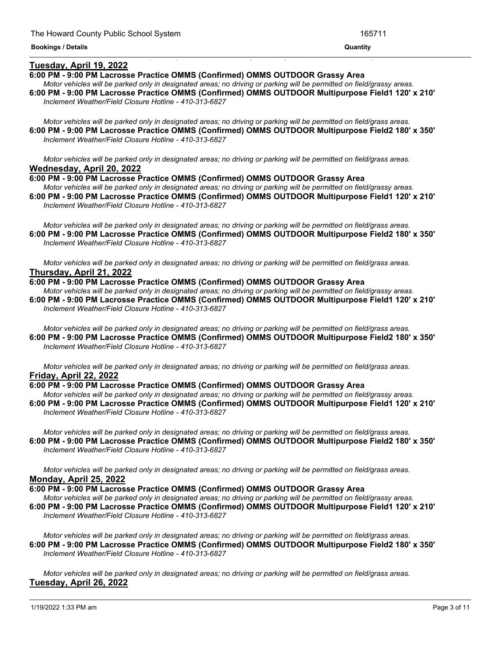## **Tuesday, April 19, 2022**

### **6:00 PM - 9:00 PM Lacrosse Practice OMMS (Confirmed) OMMS OUTDOOR Grassy Area**

Motor vehicles will be parked only in designated areas; no driving or parking will be permitted on field/grassy areas. **6:00 PM - 9:00 PM Lacrosse Practice OMMS (Confirmed) OMMS OUTDOOR Multipurpose Field1 120' x 210'** *Inclement Weather/Field Closure Hotline - 410-313-6827*

<u> 1999 - Jan James James James James James James James James James James James James James James James James J</u>

Motor vehicles will be parked only in designated areas; no driving or parking will be permitted on field/grass areas. **6:00 PM - 9:00 PM Lacrosse Practice OMMS (Confirmed) OMMS OUTDOOR Multipurpose Field2 180' x 350'** *Inclement Weather/Field Closure Hotline - 410-313-6827*

Motor vehicles will be parked only in designated areas; no driving or parking will be permitted on field/grass areas. **Wednesday, April 20, 2022**

**6:00 PM - 9:00 PM Lacrosse Practice OMMS (Confirmed) OMMS OUTDOOR Grassy Area** Motor vehicles will be parked only in designated areas; no driving or parking will be permitted on field/grassy areas.

**6:00 PM - 9:00 PM Lacrosse Practice OMMS (Confirmed) OMMS OUTDOOR Multipurpose Field1 120' x 210'** *Inclement Weather/Field Closure Hotline - 410-313-6827*

Motor vehicles will be parked only in designated areas; no driving or parking will be permitted on field/grass areas. **6:00 PM - 9:00 PM Lacrosse Practice OMMS (Confirmed) OMMS OUTDOOR Multipurpose Field2 180' x 350'** *Inclement Weather/Field Closure Hotline - 410-313-6827*

Motor vehicles will be parked only in designated areas; no driving or parking will be permitted on field/grass areas. **Thursday, April 21, 2022**

## **6:00 PM - 9:00 PM Lacrosse Practice OMMS (Confirmed) OMMS OUTDOOR Grassy Area**

Motor vehicles will be parked only in designated areas; no driving or parking will be permitted on field/grassy areas. **6:00 PM - 9:00 PM Lacrosse Practice OMMS (Confirmed) OMMS OUTDOOR Multipurpose Field1 120' x 210'** *Inclement Weather/Field Closure Hotline - 410-313-6827*

Motor vehicles will be parked only in designated areas; no driving or parking will be permitted on field/grass areas. **6:00 PM - 9:00 PM Lacrosse Practice OMMS (Confirmed) OMMS OUTDOOR Multipurpose Field2 180' x 350'** *Inclement Weather/Field Closure Hotline - 410-313-6827*

Motor vehicles will be parked only in designated areas; no driving or parking will be permitted on field/grass areas. **Friday, April 22, 2022**

### **6:00 PM - 9:00 PM Lacrosse Practice OMMS (Confirmed) OMMS OUTDOOR Grassy Area**

Motor vehicles will be parked only in designated areas; no driving or parking will be permitted on field/grassy areas. **6:00 PM - 9:00 PM Lacrosse Practice OMMS (Confirmed) OMMS OUTDOOR Multipurpose Field1 120' x 210'** *Inclement Weather/Field Closure Hotline - 410-313-6827*

Motor vehicles will be parked only in designated areas; no driving or parking will be permitted on field/grass areas. **6:00 PM - 9:00 PM Lacrosse Practice OMMS (Confirmed) OMMS OUTDOOR Multipurpose Field2 180' x 350'** *Inclement Weather/Field Closure Hotline - 410-313-6827*

Motor vehicles will be parked only in designated areas; no driving or parking will be permitted on field/grass areas. **Monday, April 25, 2022**

**6:00 PM - 9:00 PM Lacrosse Practice OMMS (Confirmed) OMMS OUTDOOR Grassy Area** Motor vehicles will be parked only in designated areas; no driving or parking will be permitted on field/grassy areas. **6:00 PM - 9:00 PM Lacrosse Practice OMMS (Confirmed) OMMS OUTDOOR Multipurpose Field1 120' x 210'** *Inclement Weather/Field Closure Hotline - 410-313-6827*

Motor vehicles will be parked only in designated areas; no driving or parking will be permitted on field/grass areas. **6:00 PM - 9:00 PM Lacrosse Practice OMMS (Confirmed) OMMS OUTDOOR Multipurpose Field2 180' x 350'** *Inclement Weather/Field Closure Hotline - 410-313-6827*

Motor vehicles will be parked only in designated areas; no driving or parking will be permitted on field/grass areas. **Tuesday, April 26, 2022**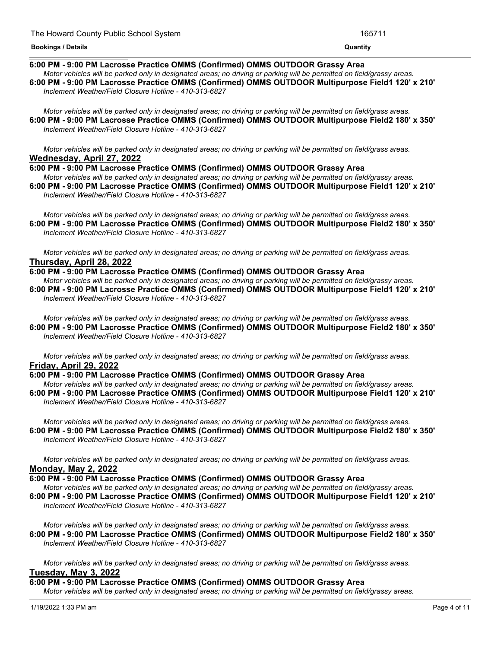#### **Tuesday, April 26, 2022 Bookings / Details Quantity**

## **6:00 PM - 9:00 PM Lacrosse Practice OMMS (Confirmed) OMMS OUTDOOR Grassy Area**

Motor vehicles will be parked only in designated areas; no driving or parking will be permitted on field/grassy areas. **6:00 PM - 9:00 PM Lacrosse Practice OMMS (Confirmed) OMMS OUTDOOR Multipurpose Field1 120' x 210'** *Inclement Weather/Field Closure Hotline - 410-313-6827*

Motor vehicles will be parked only in designated areas; no driving or parking will be permitted on field/grass areas. **6:00 PM - 9:00 PM Lacrosse Practice OMMS (Confirmed) OMMS OUTDOOR Multipurpose Field2 180' x 350'** *Inclement Weather/Field Closure Hotline - 410-313-6827*

Motor vehicles will be parked only in designated areas; no driving or parking will be permitted on field/grass areas. **Wednesday, April 27, 2022**

**6:00 PM - 9:00 PM Lacrosse Practice OMMS (Confirmed) OMMS OUTDOOR Grassy Area** Motor vehicles will be parked only in designated areas: no driving or parking will be permitted on field/grassy areas.

**6:00 PM - 9:00 PM Lacrosse Practice OMMS (Confirmed) OMMS OUTDOOR Multipurpose Field1 120' x 210'** *Inclement Weather/Field Closure Hotline - 410-313-6827*

Motor vehicles will be parked only in designated areas; no driving or parking will be permitted on field/grass areas. **6:00 PM - 9:00 PM Lacrosse Practice OMMS (Confirmed) OMMS OUTDOOR Multipurpose Field2 180' x 350'** *Inclement Weather/Field Closure Hotline - 410-313-6827*

Motor vehicles will be parked only in designated areas; no driving or parking will be permitted on field/grass areas. **Thursday, April 28, 2022**

**6:00 PM - 9:00 PM Lacrosse Practice OMMS (Confirmed) OMMS OUTDOOR Grassy Area**

Motor vehicles will be parked only in designated areas; no driving or parking will be permitted on field/grassy areas. **6:00 PM - 9:00 PM Lacrosse Practice OMMS (Confirmed) OMMS OUTDOOR Multipurpose Field1 120' x 210'** *Inclement Weather/Field Closure Hotline - 410-313-6827*

Motor vehicles will be parked only in designated areas; no driving or parking will be permitted on field/grass areas. **6:00 PM - 9:00 PM Lacrosse Practice OMMS (Confirmed) OMMS OUTDOOR Multipurpose Field2 180' x 350'** *Inclement Weather/Field Closure Hotline - 410-313-6827*

Motor vehicles will be parked only in designated areas; no driving or parking will be permitted on field/grass areas. **Friday, April 29, 2022**

## **6:00 PM - 9:00 PM Lacrosse Practice OMMS (Confirmed) OMMS OUTDOOR Grassy Area**

Motor vehicles will be parked only in designated areas; no driving or parking will be permitted on field/grassy areas. **6:00 PM - 9:00 PM Lacrosse Practice OMMS (Confirmed) OMMS OUTDOOR Multipurpose Field1 120' x 210'** *Inclement Weather/Field Closure Hotline - 410-313-6827*

Motor vehicles will be parked only in designated areas; no driving or parking will be permitted on field/grass areas. **6:00 PM - 9:00 PM Lacrosse Practice OMMS (Confirmed) OMMS OUTDOOR Multipurpose Field2 180' x 350'** *Inclement Weather/Field Closure Hotline - 410-313-6827*

Motor vehicles will be parked only in designated areas; no driving or parking will be permitted on field/grass areas. **Monday, May 2, 2022**

**6:00 PM - 9:00 PM Lacrosse Practice OMMS (Confirmed) OMMS OUTDOOR Grassy Area**

Motor vehicles will be parked only in designated areas; no driving or parking will be permitted on field/grassy areas. **6:00 PM - 9:00 PM Lacrosse Practice OMMS (Confirmed) OMMS OUTDOOR Multipurpose Field1 120' x 210'** *Inclement Weather/Field Closure Hotline - 410-313-6827*

Motor vehicles will be parked only in designated areas; no driving or parking will be permitted on field/grass areas. **6:00 PM - 9:00 PM Lacrosse Practice OMMS (Confirmed) OMMS OUTDOOR Multipurpose Field2 180' x 350'** *Inclement Weather/Field Closure Hotline - 410-313-6827*

Motor vehicles will be parked only in designated areas; no driving or parking will be permitted on field/grass areas. **Tuesday, May 3, 2022**

**6:00 PM - 9:00 PM Lacrosse Practice OMMS (Confirmed) OMMS OUTDOOR Grassy Area**

Motor vehicles will be parked only in designated areas; no driving or parking will be permitted on field/grassy areas.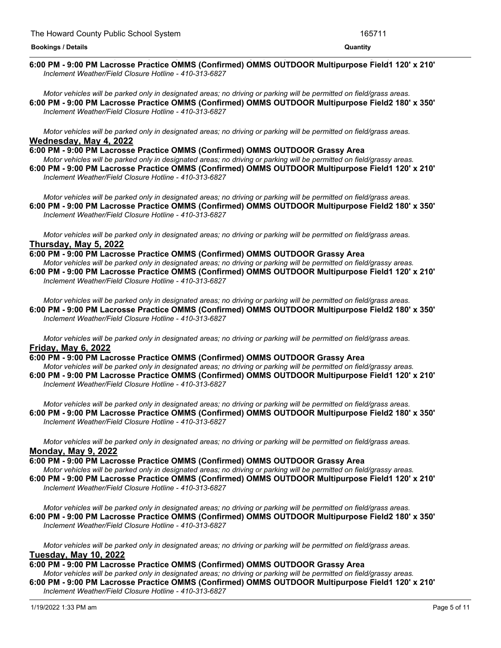#### <u> 1989 - Andrea San Andrea San Andrea San Andrea San Andrea San Andrea San Andrea San Andrea San Andrea San An</u> **6:00 PM - 9:00 PM Lacrosse Practice OMMS (Confirmed) OMMS OUTDOOR Multipurpose Field1 120' x 210'** *Inclement Weather/Field Closure Hotline - 410-313-6827*

Motor vehicles will be parked only in designated areas; no driving or parking will be permitted on field/grass areas. **6:00 PM - 9:00 PM Lacrosse Practice OMMS (Confirmed) OMMS OUTDOOR Multipurpose Field2 180' x 350'** *Inclement Weather/Field Closure Hotline - 410-313-6827*

Motor vehicles will be parked only in designated areas; no driving or parking will be permitted on field/grass areas. **Wednesday, May 4, 2022**

**6:00 PM - 9:00 PM Lacrosse Practice OMMS (Confirmed) OMMS OUTDOOR Grassy Area** Motor vehicles will be parked only in designated areas; no driving or parking will be permitted on field/grassy areas. **6:00 PM - 9:00 PM Lacrosse Practice OMMS (Confirmed) OMMS OUTDOOR Multipurpose Field1 120' x 210'** *Inclement Weather/Field Closure Hotline - 410-313-6827*

Motor vehicles will be parked only in designated areas; no driving or parking will be permitted on field/grass areas. **6:00 PM - 9:00 PM Lacrosse Practice OMMS (Confirmed) OMMS OUTDOOR Multipurpose Field2 180' x 350'** *Inclement Weather/Field Closure Hotline - 410-313-6827*

Motor vehicles will be parked only in designated areas; no driving or parking will be permitted on field/grass areas. **Thursday, May 5, 2022**

**6:00 PM - 9:00 PM Lacrosse Practice OMMS (Confirmed) OMMS OUTDOOR Grassy Area**

Motor vehicles will be parked only in designated areas; no driving or parking will be permitted on field/grassy areas. **6:00 PM - 9:00 PM Lacrosse Practice OMMS (Confirmed) OMMS OUTDOOR Multipurpose Field1 120' x 210'** *Inclement Weather/Field Closure Hotline - 410-313-6827*

Motor vehicles will be parked only in designated areas; no driving or parking will be permitted on field/grass areas. **6:00 PM - 9:00 PM Lacrosse Practice OMMS (Confirmed) OMMS OUTDOOR Multipurpose Field2 180' x 350'** *Inclement Weather/Field Closure Hotline - 410-313-6827*

Motor vehicles will be parked only in designated areas; no driving or parking will be permitted on field/grass areas. **Friday, May 6, 2022**

**6:00 PM - 9:00 PM Lacrosse Practice OMMS (Confirmed) OMMS OUTDOOR Grassy Area** Motor vehicles will be parked only in designated areas; no driving or parking will be permitted on field/grassy areas. **6:00 PM - 9:00 PM Lacrosse Practice OMMS (Confirmed) OMMS OUTDOOR Multipurpose Field1 120' x 210'**

*Inclement Weather/Field Closure Hotline - 410-313-6827*

Motor vehicles will be parked only in designated areas; no driving or parking will be permitted on field/grass areas. **6:00 PM - 9:00 PM Lacrosse Practice OMMS (Confirmed) OMMS OUTDOOR Multipurpose Field2 180' x 350'** *Inclement Weather/Field Closure Hotline - 410-313-6827*

Motor vehicles will be parked only in designated areas; no driving or parking will be permitted on field/grass areas. **Monday, May 9, 2022**

**6:00 PM - 9:00 PM Lacrosse Practice OMMS (Confirmed) OMMS OUTDOOR Grassy Area** Motor vehicles will be parked only in designated areas; no driving or parking will be permitted on field/grassy areas. **6:00 PM - 9:00 PM Lacrosse Practice OMMS (Confirmed) OMMS OUTDOOR Multipurpose Field1 120' x 210'** *Inclement Weather/Field Closure Hotline - 410-313-6827*

Motor vehicles will be parked only in designated areas; no driving or parking will be permitted on field/grass areas. **6:00 PM - 9:00 PM Lacrosse Practice OMMS (Confirmed) OMMS OUTDOOR Multipurpose Field2 180' x 350'** *Inclement Weather/Field Closure Hotline - 410-313-6827*

Motor vehicles will be parked only in designated areas; no driving or parking will be permitted on field/grass areas. **Tuesday, May 10, 2022**

## **6:00 PM - 9:00 PM Lacrosse Practice OMMS (Confirmed) OMMS OUTDOOR Grassy Area**

Motor vehicles will be parked only in designated areas; no driving or parking will be permitted on field/grassy areas. **6:00 PM - 9:00 PM Lacrosse Practice OMMS (Confirmed) OMMS OUTDOOR Multipurpose Field1 120' x 210'**

*Inclement Weather/Field Closure Hotline - 410-313-6827*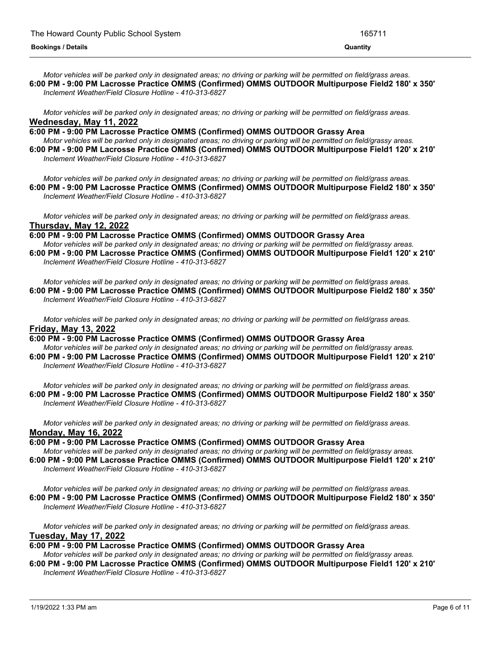Motor vehicles will be parked only in designated areas; no driving or parking will be permitted on field/grass areas. **6:00 PM - 9:00 PM Lacrosse Practice OMMS (Confirmed) OMMS OUTDOOR Multipurpose Field2 180' x 350'** *Inclement Weather/Field Closure Hotline - 410-313-6827*

Motor vehicles will be parked only in designated areas; no driving or parking will be permitted on field/grass areas. **Wednesday, May 11, 2022**

**6:00 PM - 9:00 PM Lacrosse Practice OMMS (Confirmed) OMMS OUTDOOR Grassy Area**

Motor vehicles will be parked only in designated areas; no driving or parking will be permitted on field/grassy areas. **6:00 PM - 9:00 PM Lacrosse Practice OMMS (Confirmed) OMMS OUTDOOR Multipurpose Field1 120' x 210'** *Inclement Weather/Field Closure Hotline - 410-313-6827*

Motor vehicles will be parked only in designated areas; no driving or parking will be permitted on field/grass areas. **6:00 PM - 9:00 PM Lacrosse Practice OMMS (Confirmed) OMMS OUTDOOR Multipurpose Field2 180' x 350'** *Inclement Weather/Field Closure Hotline - 410-313-6827*

Motor vehicles will be parked only in designated areas; no driving or parking will be permitted on field/grass areas. **Thursday, May 12, 2022**

**6:00 PM - 9:00 PM Lacrosse Practice OMMS (Confirmed) OMMS OUTDOOR Grassy Area** Motor vehicles will be parked only in designated areas; no driving or parking will be permitted on field/grassy areas.

**6:00 PM - 9:00 PM Lacrosse Practice OMMS (Confirmed) OMMS OUTDOOR Multipurpose Field1 120' x 210'** *Inclement Weather/Field Closure Hotline - 410-313-6827*

Motor vehicles will be parked only in designated areas; no driving or parking will be permitted on field/grass areas. **6:00 PM - 9:00 PM Lacrosse Practice OMMS (Confirmed) OMMS OUTDOOR Multipurpose Field2 180' x 350'** *Inclement Weather/Field Closure Hotline - 410-313-6827*

Motor vehicles will be parked only in designated areas; no driving or parking will be permitted on field/grass areas. **Friday, May 13, 2022**

**6:00 PM - 9:00 PM Lacrosse Practice OMMS (Confirmed) OMMS OUTDOOR Grassy Area** Motor vehicles will be parked only in designated areas: no driving or parking will be permitted on field/grassy areas. **6:00 PM - 9:00 PM Lacrosse Practice OMMS (Confirmed) OMMS OUTDOOR Multipurpose Field1 120' x 210'** *Inclement Weather/Field Closure Hotline - 410-313-6827*

Motor vehicles will be parked only in designated areas; no driving or parking will be permitted on field/grass areas. **6:00 PM - 9:00 PM Lacrosse Practice OMMS (Confirmed) OMMS OUTDOOR Multipurpose Field2 180' x 350'** *Inclement Weather/Field Closure Hotline - 410-313-6827*

Motor vehicles will be parked only in designated areas; no driving or parking will be permitted on field/grass areas. **Monday, May 16, 2022**

**6:00 PM - 9:00 PM Lacrosse Practice OMMS (Confirmed) OMMS OUTDOOR Grassy Area**

Motor vehicles will be parked only in designated areas; no driving or parking will be permitted on field/grassy areas. **6:00 PM - 9:00 PM Lacrosse Practice OMMS (Confirmed) OMMS OUTDOOR Multipurpose Field1 120' x 210'** *Inclement Weather/Field Closure Hotline - 410-313-6827*

Motor vehicles will be parked only in designated areas; no driving or parking will be permitted on field/grass areas. **6:00 PM - 9:00 PM Lacrosse Practice OMMS (Confirmed) OMMS OUTDOOR Multipurpose Field2 180' x 350'** *Inclement Weather/Field Closure Hotline - 410-313-6827*

Motor vehicles will be parked only in designated areas; no driving or parking will be permitted on field/grass areas. **Tuesday, May 17, 2022**

## **6:00 PM - 9:00 PM Lacrosse Practice OMMS (Confirmed) OMMS OUTDOOR Grassy Area**

Motor vehicles will be parked only in designated areas; no driving or parking will be permitted on field/grassy areas.

**6:00 PM - 9:00 PM Lacrosse Practice OMMS (Confirmed) OMMS OUTDOOR Multipurpose Field1 120' x 210'** *Inclement Weather/Field Closure Hotline - 410-313-6827*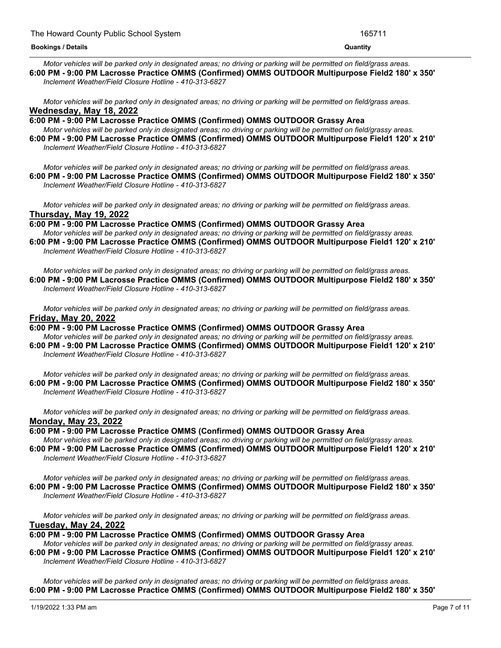Motor vehicles will be parked only in designated areas; no driving or parking will be permitted on field/grass areas. **6:00 PM - 9:00 PM Lacrosse Practice OMMS (Confirmed) OMMS OUTDOOR Multipurpose Field2 180' x 350'** *Inclement Weather/Field Closure Hotline - 410-313-6827*

Motor vehicles will be parked only in designated areas; no driving or parking will be permitted on field/grass areas. **Wednesday, May 18, 2022**

**6:00 PM - 9:00 PM Lacrosse Practice OMMS (Confirmed) OMMS OUTDOOR Grassy Area** Motor vehicles will be parked only in designated areas; no driving or parking will be permitted on field/grassy areas. **6:00 PM - 9:00 PM Lacrosse Practice OMMS (Confirmed) OMMS OUTDOOR Multipurpose Field1 120' x 210'** *Inclement Weather/Field Closure Hotline - 410-313-6827*

Motor vehicles will be parked only in designated areas; no driving or parking will be permitted on field/grass areas. **6:00 PM - 9:00 PM Lacrosse Practice OMMS (Confirmed) OMMS OUTDOOR Multipurpose Field2 180' x 350'** *Inclement Weather/Field Closure Hotline - 410-313-6827*

Motor vehicles will be parked only in designated areas; no driving or parking will be permitted on field/grass areas. **Thursday, May 19, 2022**

**6:00 PM - 9:00 PM Lacrosse Practice OMMS (Confirmed) OMMS OUTDOOR Grassy Area**

Motor vehicles will be parked only in designated areas; no driving or parking will be permitted on field/grassy areas. **6:00 PM - 9:00 PM Lacrosse Practice OMMS (Confirmed) OMMS OUTDOOR Multipurpose Field1 120' x 210'** *Inclement Weather/Field Closure Hotline - 410-313-6827*

Motor vehicles will be parked only in designated areas; no driving or parking will be permitted on field/grass areas. **6:00 PM - 9:00 PM Lacrosse Practice OMMS (Confirmed) OMMS OUTDOOR Multipurpose Field2 180' x 350'** *Inclement Weather/Field Closure Hotline - 410-313-6827*

Motor vehicles will be parked only in designated areas; no driving or parking will be permitted on field/grass areas. **Friday, May 20, 2022**

**6:00 PM - 9:00 PM Lacrosse Practice OMMS (Confirmed) OMMS OUTDOOR Grassy Area** Motor vehicles will be parked only in designated areas; no driving or parking will be permitted on field/grassy areas. **6:00 PM - 9:00 PM Lacrosse Practice OMMS (Confirmed) OMMS OUTDOOR Multipurpose Field1 120' x 210'**

*Inclement Weather/Field Closure Hotline - 410-313-6827*

Motor vehicles will be parked only in designated areas; no driving or parking will be permitted on field/grass areas. **6:00 PM - 9:00 PM Lacrosse Practice OMMS (Confirmed) OMMS OUTDOOR Multipurpose Field2 180' x 350'** *Inclement Weather/Field Closure Hotline - 410-313-6827*

Motor vehicles will be parked only in designated areas; no driving or parking will be permitted on field/grass areas. **Monday, May 23, 2022**

**6:00 PM - 9:00 PM Lacrosse Practice OMMS (Confirmed) OMMS OUTDOOR Grassy Area**

Motor vehicles will be parked only in designated areas; no driving or parking will be permitted on field/grassy areas. **6:00 PM - 9:00 PM Lacrosse Practice OMMS (Confirmed) OMMS OUTDOOR Multipurpose Field1 120' x 210'** *Inclement Weather/Field Closure Hotline - 410-313-6827*

Motor vehicles will be parked only in designated areas; no driving or parking will be permitted on field/grass areas. **6:00 PM - 9:00 PM Lacrosse Practice OMMS (Confirmed) OMMS OUTDOOR Multipurpose Field2 180' x 350'** *Inclement Weather/Field Closure Hotline - 410-313-6827*

Motor vehicles will be parked only in designated areas; no driving or parking will be permitted on field/grass areas. **Tuesday, May 24, 2022**

**6:00 PM - 9:00 PM Lacrosse Practice OMMS (Confirmed) OMMS OUTDOOR Grassy Area**

Motor vehicles will be parked only in designated areas; no driving or parking will be permitted on field/grassy areas. **6:00 PM - 9:00 PM Lacrosse Practice OMMS (Confirmed) OMMS OUTDOOR Multipurpose Field1 120' x 210'** *Inclement Weather/Field Closure Hotline - 410-313-6827*

Motor vehicles will be parked only in designated areas; no driving or parking will be permitted on field/grass areas. **6:00 PM - 9:00 PM Lacrosse Practice OMMS (Confirmed) OMMS OUTDOOR Multipurpose Field2 180' x 350'**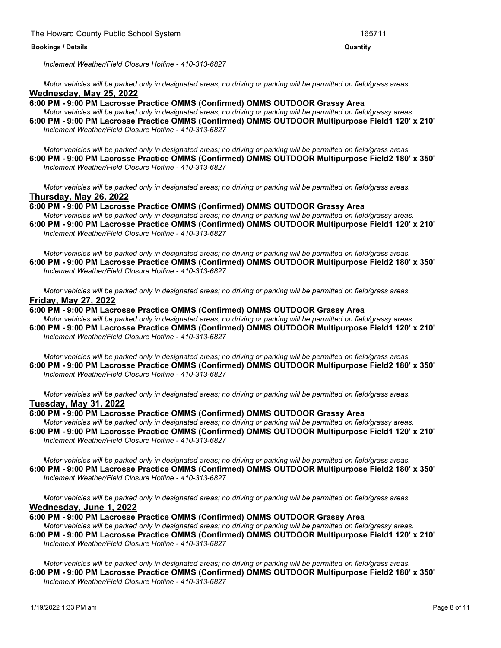*Inclement Weather/Field Closure Hotline - 410-313-6827*

Motor vehicles will be parked only in designated areas; no driving or parking will be permitted on field/grass areas. **Wednesday, May 25, 2022**

**6:00 PM - 9:00 PM Lacrosse Practice OMMS (Confirmed) OMMS OUTDOOR Grassy Area**

Motor vehicles will be parked only in designated areas; no driving or parking will be permitted on field/grassy areas. **6:00 PM - 9:00 PM Lacrosse Practice OMMS (Confirmed) OMMS OUTDOOR Multipurpose Field1 120' x 210'** *Inclement Weather/Field Closure Hotline - 410-313-6827*

Motor vehicles will be parked only in designated areas; no driving or parking will be permitted on field/grass areas. **6:00 PM - 9:00 PM Lacrosse Practice OMMS (Confirmed) OMMS OUTDOOR Multipurpose Field2 180' x 350'** *Inclement Weather/Field Closure Hotline - 410-313-6827*

Motor vehicles will be parked only in designated areas; no driving or parking will be permitted on field/grass areas. **Thursday, May 26, 2022**

**6:00 PM - 9:00 PM Lacrosse Practice OMMS (Confirmed) OMMS OUTDOOR Grassy Area** Motor vehicles will be parked only in designated areas; no driving or parking will be permitted on field/grassy areas. **6:00 PM - 9:00 PM Lacrosse Practice OMMS (Confirmed) OMMS OUTDOOR Multipurpose Field1 120' x 210'**

*Inclement Weather/Field Closure Hotline - 410-313-6827*

Motor vehicles will be parked only in designated areas; no driving or parking will be permitted on field/grass areas. **6:00 PM - 9:00 PM Lacrosse Practice OMMS (Confirmed) OMMS OUTDOOR Multipurpose Field2 180' x 350'** *Inclement Weather/Field Closure Hotline - 410-313-6827*

Motor vehicles will be parked only in designated areas; no driving or parking will be permitted on field/grass areas. **Friday, May 27, 2022**

## **6:00 PM - 9:00 PM Lacrosse Practice OMMS (Confirmed) OMMS OUTDOOR Grassy Area**

Motor vehicles will be parked only in designated areas; no driving or parking will be permitted on field/grassy areas. **6:00 PM - 9:00 PM Lacrosse Practice OMMS (Confirmed) OMMS OUTDOOR Multipurpose Field1 120' x 210'** *Inclement Weather/Field Closure Hotline - 410-313-6827*

Motor vehicles will be parked only in designated areas; no driving or parking will be permitted on field/grass areas. **6:00 PM - 9:00 PM Lacrosse Practice OMMS (Confirmed) OMMS OUTDOOR Multipurpose Field2 180' x 350'** *Inclement Weather/Field Closure Hotline - 410-313-6827*

Motor vehicles will be parked only in designated areas; no driving or parking will be permitted on field/grass areas. **Tuesday, May 31, 2022**

## **6:00 PM - 9:00 PM Lacrosse Practice OMMS (Confirmed) OMMS OUTDOOR Grassy Area**

Motor vehicles will be parked only in designated areas; no driving or parking will be permitted on field/grassy areas. **6:00 PM - 9:00 PM Lacrosse Practice OMMS (Confirmed) OMMS OUTDOOR Multipurpose Field1 120' x 210'** *Inclement Weather/Field Closure Hotline - 410-313-6827*

Motor vehicles will be parked only in designated areas; no driving or parking will be permitted on field/grass areas. **6:00 PM - 9:00 PM Lacrosse Practice OMMS (Confirmed) OMMS OUTDOOR Multipurpose Field2 180' x 350'** *Inclement Weather/Field Closure Hotline - 410-313-6827*

Motor vehicles will be parked only in designated areas; no driving or parking will be permitted on field/grass areas. **Wednesday, June 1, 2022**

**6:00 PM - 9:00 PM Lacrosse Practice OMMS (Confirmed) OMMS OUTDOOR Grassy Area**

Motor vehicles will be parked only in designated areas; no driving or parking will be permitted on field/grassy areas. **6:00 PM - 9:00 PM Lacrosse Practice OMMS (Confirmed) OMMS OUTDOOR Multipurpose Field1 120' x 210'** *Inclement Weather/Field Closure Hotline - 410-313-6827*

Motor vehicles will be parked only in designated areas; no driving or parking will be permitted on field/grass areas. **6:00 PM - 9:00 PM Lacrosse Practice OMMS (Confirmed) OMMS OUTDOOR Multipurpose Field2 180' x 350'** *Inclement Weather/Field Closure Hotline - 410-313-6827*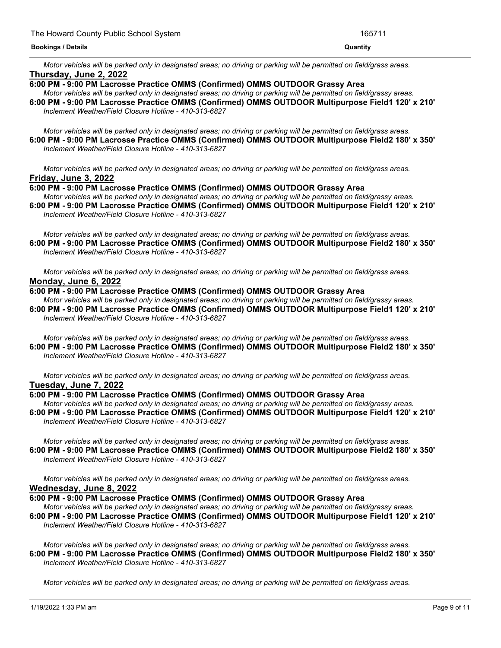Motor vehicles will be parked only in designated areas; no driving or parking will be permitted on field/grass areas. **Thursday, June 2, 2022**

- **6:00 PM - 9:00 PM Lacrosse Practice OMMS (Confirmed) OMMS OUTDOOR Grassy Area** Motor vehicles will be parked only in designated areas; no driving or parking will be permitted on field/grassy areas.
- **6:00 PM - 9:00 PM Lacrosse Practice OMMS (Confirmed) OMMS OUTDOOR Multipurpose Field1 120' x 210'** *Inclement Weather/Field Closure Hotline - 410-313-6827*

Motor vehicles will be parked only in designated areas; no driving or parking will be permitted on field/grass areas. **6:00 PM - 9:00 PM Lacrosse Practice OMMS (Confirmed) OMMS OUTDOOR Multipurpose Field2 180' x 350'** *Inclement Weather/Field Closure Hotline - 410-313-6827*

Motor vehicles will be parked only in designated areas: no driving or parking will be permitted on field/grass areas. **Friday, June 3, 2022**

## **6:00 PM - 9:00 PM Lacrosse Practice OMMS (Confirmed) OMMS OUTDOOR Grassy Area**

Motor vehicles will be parked only in designated areas; no driving or parking will be permitted on field/grassy areas. **6:00 PM - 9:00 PM Lacrosse Practice OMMS (Confirmed) OMMS OUTDOOR Multipurpose Field1 120' x 210'** *Inclement Weather/Field Closure Hotline - 410-313-6827*

Motor vehicles will be parked only in designated areas; no driving or parking will be permitted on field/grass areas. **6:00 PM - 9:00 PM Lacrosse Practice OMMS (Confirmed) OMMS OUTDOOR Multipurpose Field2 180' x 350'** *Inclement Weather/Field Closure Hotline - 410-313-6827*

Motor vehicles will be parked only in designated areas; no driving or parking will be permitted on field/grass areas. **Monday, June 6, 2022**

#### **6:00 PM - 9:00 PM Lacrosse Practice OMMS (Confirmed) OMMS OUTDOOR Grassy Area**

Motor vehicles will be parked only in designated areas; no driving or parking will be permitted on field/grassy areas. **6:00 PM - 9:00 PM Lacrosse Practice OMMS (Confirmed) OMMS OUTDOOR Multipurpose Field1 120' x 210'** *Inclement Weather/Field Closure Hotline - 410-313-6827*

Motor vehicles will be parked only in designated areas; no driving or parking will be permitted on field/grass areas. **6:00 PM - 9:00 PM Lacrosse Practice OMMS (Confirmed) OMMS OUTDOOR Multipurpose Field2 180' x 350'** *Inclement Weather/Field Closure Hotline - 410-313-6827*

Motor vehicles will be parked only in designated areas; no driving or parking will be permitted on field/grass areas. **Tuesday, June 7, 2022**

**6:00 PM - 9:00 PM Lacrosse Practice OMMS (Confirmed) OMMS OUTDOOR Grassy Area** Motor vehicles will be parked only in designated areas; no driving or parking will be permitted on field/grassy areas. **6:00 PM - 9:00 PM Lacrosse Practice OMMS (Confirmed) OMMS OUTDOOR Multipurpose Field1 120' x 210'** *Inclement Weather/Field Closure Hotline - 410-313-6827*

Motor vehicles will be parked only in designated areas; no driving or parking will be permitted on field/grass areas. **6:00 PM - 9:00 PM Lacrosse Practice OMMS (Confirmed) OMMS OUTDOOR Multipurpose Field2 180' x 350'** *Inclement Weather/Field Closure Hotline - 410-313-6827*

Motor vehicles will be parked only in designated areas; no driving or parking will be permitted on field/grass areas. **Wednesday, June 8, 2022**

## **6:00 PM - 9:00 PM Lacrosse Practice OMMS (Confirmed) OMMS OUTDOOR Grassy Area**

Motor vehicles will be parked only in designated areas; no driving or parking will be permitted on field/grassy areas. **6:00 PM - 9:00 PM Lacrosse Practice OMMS (Confirmed) OMMS OUTDOOR Multipurpose Field1 120' x 210'** *Inclement Weather/Field Closure Hotline - 410-313-6827*

Motor vehicles will be parked only in designated areas; no driving or parking will be permitted on field/grass areas. **6:00 PM - 9:00 PM Lacrosse Practice OMMS (Confirmed) OMMS OUTDOOR Multipurpose Field2 180' x 350'** *Inclement Weather/Field Closure Hotline - 410-313-6827*

Motor vehicles will be parked only in designated areas; no driving or parking will be permitted on field/grass areas.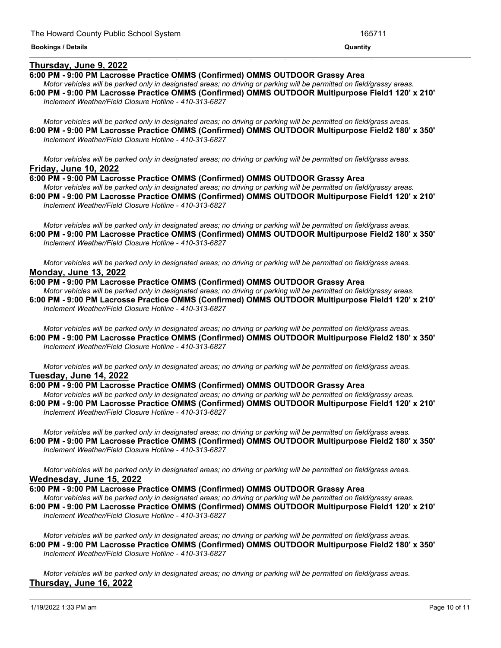## **Thursday, June 9, 2022**

#### **6:00 PM - 9:00 PM Lacrosse Practice OMMS (Confirmed) OMMS OUTDOOR Grassy Area**

Motor vehicles will be parked only in designated areas; no driving or parking will be permitted on field/grassy areas. **6:00 PM - 9:00 PM Lacrosse Practice OMMS (Confirmed) OMMS OUTDOOR Multipurpose Field1 120' x 210'** *Inclement Weather/Field Closure Hotline - 410-313-6827*

<u> 1999 - Jan James James James James James James James James James James James James James James James James J</u>

Motor vehicles will be parked only in designated areas; no driving or parking will be permitted on field/grass areas. **6:00 PM - 9:00 PM Lacrosse Practice OMMS (Confirmed) OMMS OUTDOOR Multipurpose Field2 180' x 350'** *Inclement Weather/Field Closure Hotline - 410-313-6827*

Motor vehicles will be parked only in designated areas; no driving or parking will be permitted on field/grass areas. **Friday, June 10, 2022**

**6:00 PM - 9:00 PM Lacrosse Practice OMMS (Confirmed) OMMS OUTDOOR Grassy Area**

Motor vehicles will be parked only in designated areas; no driving or parking will be permitted on field/grassy areas. **6:00 PM - 9:00 PM Lacrosse Practice OMMS (Confirmed) OMMS OUTDOOR Multipurpose Field1 120' x 210'** *Inclement Weather/Field Closure Hotline - 410-313-6827*

Motor vehicles will be parked only in designated areas; no driving or parking will be permitted on field/grass areas. **6:00 PM - 9:00 PM Lacrosse Practice OMMS (Confirmed) OMMS OUTDOOR Multipurpose Field2 180' x 350'** *Inclement Weather/Field Closure Hotline - 410-313-6827*

Motor vehicles will be parked only in designated areas; no driving or parking will be permitted on field/grass areas. **Monday, June 13, 2022**

### **6:00 PM - 9:00 PM Lacrosse Practice OMMS (Confirmed) OMMS OUTDOOR Grassy Area**

Motor vehicles will be parked only in designated areas; no driving or parking will be permitted on field/grassy areas. **6:00 PM - 9:00 PM Lacrosse Practice OMMS (Confirmed) OMMS OUTDOOR Multipurpose Field1 120' x 210'** *Inclement Weather/Field Closure Hotline - 410-313-6827*

Motor vehicles will be parked only in designated areas; no driving or parking will be permitted on field/grass areas. **6:00 PM - 9:00 PM Lacrosse Practice OMMS (Confirmed) OMMS OUTDOOR Multipurpose Field2 180' x 350'** *Inclement Weather/Field Closure Hotline - 410-313-6827*

Motor vehicles will be parked only in designated areas; no driving or parking will be permitted on field/grass areas. **Tuesday, June 14, 2022**

### **6:00 PM - 9:00 PM Lacrosse Practice OMMS (Confirmed) OMMS OUTDOOR Grassy Area**

Motor vehicles will be parked only in designated areas; no driving or parking will be permitted on field/grassy areas. **6:00 PM - 9:00 PM Lacrosse Practice OMMS (Confirmed) OMMS OUTDOOR Multipurpose Field1 120' x 210'** *Inclement Weather/Field Closure Hotline - 410-313-6827*

Motor vehicles will be parked only in designated areas; no driving or parking will be permitted on field/grass areas. **6:00 PM - 9:00 PM Lacrosse Practice OMMS (Confirmed) OMMS OUTDOOR Multipurpose Field2 180' x 350'** *Inclement Weather/Field Closure Hotline - 410-313-6827*

Motor vehicles will be parked only in designated areas; no driving or parking will be permitted on field/grass areas. **Wednesday, June 15, 2022**

**6:00 PM - 9:00 PM Lacrosse Practice OMMS (Confirmed) OMMS OUTDOOR Grassy Area** Motor vehicles will be parked only in designated areas; no driving or parking will be permitted on field/grassy areas. **6:00 PM - 9:00 PM Lacrosse Practice OMMS (Confirmed) OMMS OUTDOOR Multipurpose Field1 120' x 210'** *Inclement Weather/Field Closure Hotline - 410-313-6827*

Motor vehicles will be parked only in designated areas; no driving or parking will be permitted on field/grass areas. **6:00 PM - 9:00 PM Lacrosse Practice OMMS (Confirmed) OMMS OUTDOOR Multipurpose Field2 180' x 350'** *Inclement Weather/Field Closure Hotline - 410-313-6827*

Motor vehicles will be parked only in designated areas; no driving or parking will be permitted on field/grass areas. **Thursday, June 16, 2022**